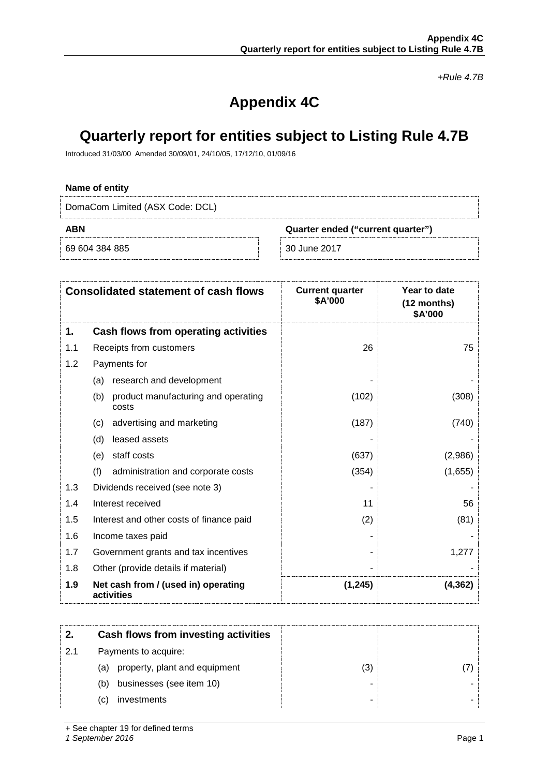*+Rule 4.7B*

# **Appendix 4C**

# **Quarterly report for entities subject to Listing Rule 4.7B**

Introduced 31/03/00 Amended 30/09/01, 24/10/05, 17/12/10, 01/09/16

### **Name of entity**

DomaCom Limited (ASX Code: DCL)

69 604 384 885 30 June 2017

**ABN Quarter ended ("current quarter")**

| <b>Consolidated statement of cash flows</b> |                                                     | <b>Current quarter</b><br>\$A'000 | Year to date<br>$(12$ months)<br>\$A'000 |
|---------------------------------------------|-----------------------------------------------------|-----------------------------------|------------------------------------------|
| 1.                                          | Cash flows from operating activities                |                                   |                                          |
| 1.1                                         | Receipts from customers                             | 26                                | 75                                       |
| 1.2                                         | Payments for                                        |                                   |                                          |
|                                             | research and development<br>(a)                     |                                   |                                          |
|                                             | (b)<br>product manufacturing and operating<br>costs | (102)                             | (308)                                    |
|                                             | advertising and marketing<br>(c)                    | (187)                             | (740)                                    |
|                                             | (d)<br>leased assets                                |                                   |                                          |
|                                             | staff costs<br>(e)                                  | (637)                             | (2,986)                                  |
|                                             | (f)<br>administration and corporate costs           | (354)                             | (1,655)                                  |
| 1.3                                         | Dividends received (see note 3)                     |                                   |                                          |
| 1.4                                         | Interest received                                   | 11                                | 56                                       |
| 1.5                                         | Interest and other costs of finance paid            | (2)                               | (81)                                     |
| 1.6                                         | Income taxes paid                                   |                                   |                                          |
| 1.7                                         | Government grants and tax incentives                |                                   | 1,277                                    |
| 1.8                                         | Other (provide details if material)                 |                                   |                                          |
| 1.9                                         | Net cash from / (used in) operating<br>activities   | (1,245)                           | (4.362)                                  |

|    | Cash flows from investing activities |   |  |
|----|--------------------------------------|---|--|
| 21 | Payments to acquire:                 |   |  |
|    | property, plant and equipment<br>(a) | N |  |
|    | businesses (see item 10)<br>(b)      |   |  |
|    | investments<br>(C)                   |   |  |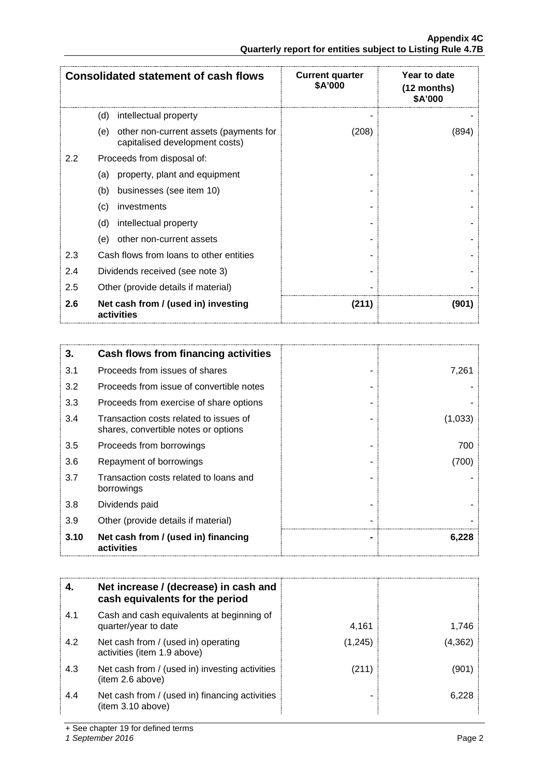| <b>Consolidated statement of cash flows</b> |                                                                                 | <b>Current quarter</b><br>\$A'000 | Year to date<br>(12 months)<br>\$A'000 |
|---------------------------------------------|---------------------------------------------------------------------------------|-----------------------------------|----------------------------------------|
|                                             | (d)<br>intellectual property                                                    |                                   |                                        |
|                                             | other non-current assets (payments for<br>(e)<br>capitalised development costs) | (208)                             | (894)                                  |
| $2.2\phantom{0}$                            | Proceeds from disposal of:                                                      |                                   |                                        |
|                                             | property, plant and equipment<br>(a)                                            |                                   |                                        |
|                                             | businesses (see item 10)<br>(b)                                                 |                                   |                                        |
|                                             | investments<br>(c)                                                              |                                   |                                        |
|                                             | (d)<br>intellectual property                                                    |                                   |                                        |
|                                             | other non-current assets<br>(e)                                                 |                                   |                                        |
| 2.3                                         | Cash flows from loans to other entities                                         |                                   |                                        |
| 2.4                                         | Dividends received (see note 3)                                                 |                                   |                                        |
| 2.5                                         | Other (provide details if material)                                             |                                   |                                        |
| 2.6                                         | Net cash from / (used in) investing<br>activities                               | (211)                             | (901)                                  |

| 3.   | Cash flows from financing activities                                           |         |
|------|--------------------------------------------------------------------------------|---------|
| 3.1  | Proceeds from issues of shares                                                 | 7,261   |
| 3.2  | Proceeds from issue of convertible notes                                       |         |
| 3.3  | Proceeds from exercise of share options                                        |         |
| 3.4  | Transaction costs related to issues of<br>shares, convertible notes or options | (1,033) |
| 3.5  | Proceeds from borrowings                                                       | 700     |
| 3.6  | Repayment of borrowings                                                        | (700)   |
| 3.7  | Transaction costs related to loans and<br>borrowings                           |         |
| 3.8  | Dividends paid                                                                 |         |
| 3.9  | Other (provide details if material)                                            |         |
| 3.10 | Net cash from / (used in) financing<br>activities                              | 6,228   |

|     | Net increase / (decrease) in cash and<br>cash equivalents for the period |         |         |
|-----|--------------------------------------------------------------------------|---------|---------|
| 4.1 | Cash and cash equivalents at beginning of<br>quarter/year to date        | 4.161   | 1.746   |
| 4.2 | Net cash from / (used in) operating<br>activities (item 1.9 above)       | (1,245) | (4,362) |
| 4.3 | Net cash from / (used in) investing activities<br>(item 2.6 above)       | (211)   | 1901    |
| 4.4 | Net cash from / (used in) financing activities<br>item 3.10 above)       |         | ნ 228   |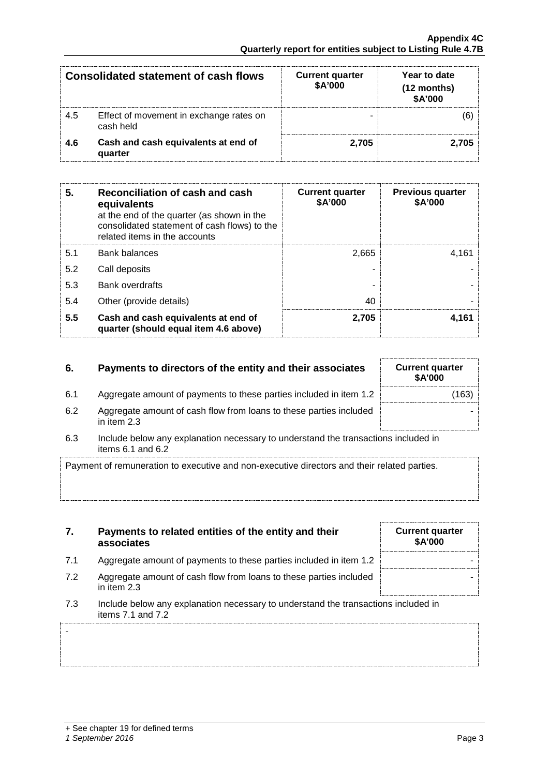-

| <b>Consolidated statement of cash flows</b> |                                                      | <b>Current quarter</b><br>\$A'000 | Year to date<br>$(12$ months)<br>\$A'000 |
|---------------------------------------------|------------------------------------------------------|-----------------------------------|------------------------------------------|
| 4.5                                         | Effect of movement in exchange rates on<br>cash held |                                   |                                          |
| 4.6                                         | Cash and cash equivalents at end of<br>quarter       | 2.705                             | .705                                     |

| 5.  | Reconciliation of cash and cash<br>equivalents<br>at the end of the quarter (as shown in the<br>consolidated statement of cash flows) to the<br>related items in the accounts | <b>Current quarter</b><br>\$A'000 | <b>Previous quarter</b><br>\$A'000 |
|-----|-------------------------------------------------------------------------------------------------------------------------------------------------------------------------------|-----------------------------------|------------------------------------|
| 5.1 | <b>Bank balances</b>                                                                                                                                                          | 2.665                             | 4.161                              |
| 5.2 | Call deposits                                                                                                                                                                 |                                   |                                    |
| 5.3 | <b>Bank overdrafts</b>                                                                                                                                                        |                                   |                                    |
| 5.4 | Other (provide details)                                                                                                                                                       | 40                                |                                    |
| 5.5 | Cash and cash equivalents at end of<br>quarter (should equal item 4.6 above)                                                                                                  | 2.705                             | 4.161                              |

# **6.** Payments to directors of the entity and their associates

- 6.1 Aggregate amount of payments to these parties included in item 1.2
- 6.2 Aggregate amount of cash flow from loans to these parties included in item 2.3
- 6.3 Include below any explanation necessary to understand the transactions included in items 6.1 and 6.2

Payment of remuneration to executive and non-executive directors and their related parties.

- **7. Payments to related entities of the entity and their associates**
- 7.1 Aggregate amount of payments to these parties included in item 1.2
- 7.2 Aggregate amount of cash flow from loans to these parties included in item 2.3
- 7.3 Include below any explanation necessary to understand the transactions included in items 7.1 and 7.2

| <b>Current quarter</b><br>\$A'000 |  |
|-----------------------------------|--|
|                                   |  |
|                                   |  |
|                                   |  |

| <b>Current quarter</b><br>\$A'000 |  |
|-----------------------------------|--|
|                                   |  |
|                                   |  |
|                                   |  |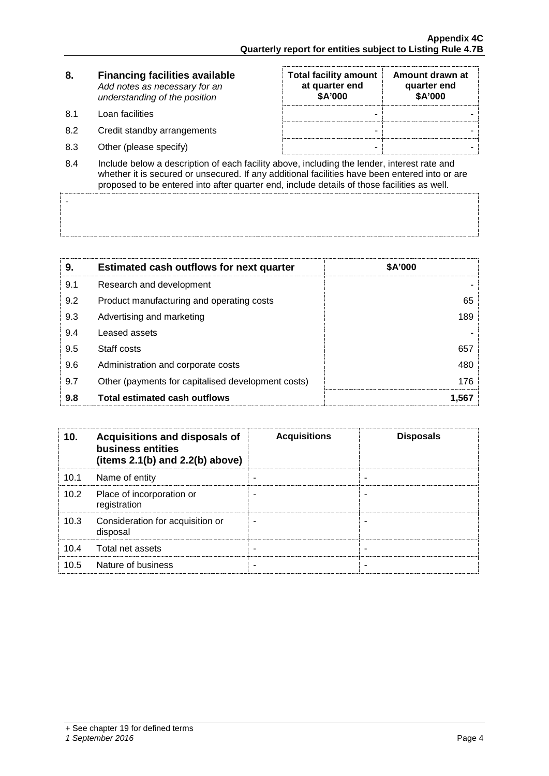| 8. | <b>Financing facilities available</b> |
|----|---------------------------------------|
|    | Add notes as necessary for an         |
|    | understanding of the position         |

8.1 Loan facilities

-

- 8.2 Credit standby arrangements
- 8.3 Other (please specify)

| <b>Total facility amount</b><br>at quarter end<br>\$A'000 | Amount drawn at<br>quarter end<br>\$A'000 |
|-----------------------------------------------------------|-------------------------------------------|
|                                                           |                                           |
|                                                           |                                           |
|                                                           |                                           |

8.4 Include below a description of each facility above, including the lender, interest rate and whether it is secured or unsecured. If any additional facilities have been entered into or are proposed to be entered into after quarter end, include details of those facilities as well.

| 9.  | <b>Estimated cash outflows for next quarter</b>    | \$A'000 |
|-----|----------------------------------------------------|---------|
| 9.1 | Research and development                           |         |
| 9.2 | Product manufacturing and operating costs          | 65      |
| 9.3 | Advertising and marketing                          | 189     |
| 9.4 | Leased assets                                      |         |
| 9.5 | Staff costs                                        | 657     |
| 9.6 | Administration and corporate costs                 | 480     |
| 9.7 | Other (payments for capitalised development costs) | 176     |
| 9.8 | Total estimated cash outflows                      |         |

| 10.  | Acquisitions and disposals of<br>business entities<br>(items $2.1(b)$ and $2.2(b)$ above) | <b>Acquisitions</b> | <b>Disposals</b> |
|------|-------------------------------------------------------------------------------------------|---------------------|------------------|
| 10.1 | Name of entity                                                                            |                     |                  |
| 10.2 | Place of incorporation or<br>registration                                                 |                     |                  |
| 10.3 | Consideration for acquisition or<br>disposal                                              |                     |                  |
| 10 4 | Total net assets                                                                          |                     |                  |
| 10 5 | Nature of business                                                                        |                     |                  |